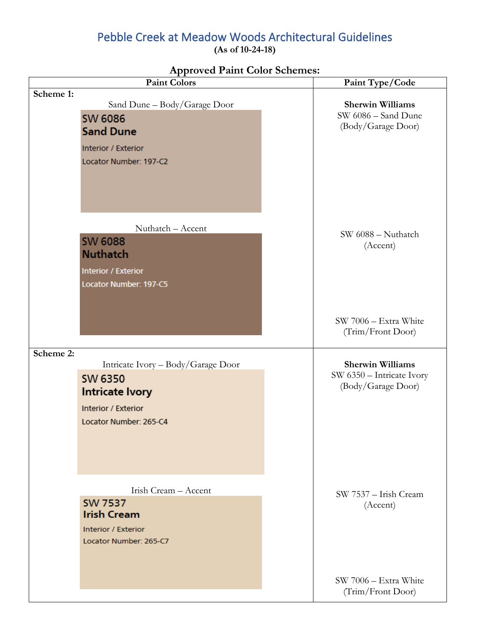# Pebble Creek at Meadow Woods Architectural Guidelines

**(As of 10-24-18)**

| <b>Paint Colors</b>                                                                                                              | Paint Type/Code                                                            |
|----------------------------------------------------------------------------------------------------------------------------------|----------------------------------------------------------------------------|
| Scheme 1:<br>Sand Dune - Body/Garage Door<br><b>SW 6086</b><br><b>Sand Dune</b><br>Interior / Exterior<br>Locator Number: 197-C2 | <b>Sherwin Williams</b><br>SW 6086 - Sand Dune<br>(Body/Garage Door)       |
| Nuthatch - Accent<br><b>SW 6088</b><br><b>Nuthatch</b><br>Interior / Exterior<br>Locator Number: 197-C5                          | SW 6088 - Nuthatch<br>(Accent)                                             |
|                                                                                                                                  | SW 7006 - Extra White<br>(Trim/Front Door)                                 |
| Scheme 2:<br>Intricate Ivory - Body/Garage Door<br>SW 6350<br>Intricate Ivory<br>Interior / Exterior<br>Locator Number: 265-C4   | <b>Sherwin Williams</b><br>SW 6350 - Intricate Ivory<br>(Body/Garage Door) |
| Irish Cream - Accent<br><b>SW 7537</b><br><b>Irish Cream</b><br>Interior / Exterior<br>Locator Number: 265-C7                    | SW 7537 - Irish Cream<br>(Accent)                                          |
|                                                                                                                                  | SW 7006 - Extra White<br>(Trim/Front Door)                                 |

### **Approved Paint Color Schemes:**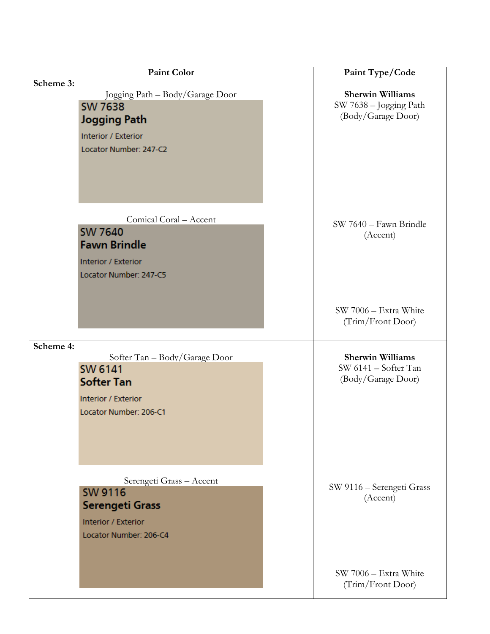| Paint Color                                                                                                                        | Paint Type/Code                                                         |
|------------------------------------------------------------------------------------------------------------------------------------|-------------------------------------------------------------------------|
| Scheme 3:<br>Jogging Path - Body/Garage Door<br><b>SW 7638</b><br>Jogging Path<br>Interior / Exterior<br>Locator Number: 247-C2    | <b>Sherwin Williams</b><br>SW 7638 - Jogging Path<br>(Body/Garage Door) |
| Comical Coral - Accent<br><b>SW 7640</b><br><b>Fawn Brindle</b><br>Interior / Exterior<br>Locator Number: 247-C5                   | SW 7640 - Fawn Brindle<br>(Accent)                                      |
|                                                                                                                                    | SW 7006 - Extra White<br>(Trim/Front Door)                              |
| Scheme 4:<br>Softer Tan - Body/Garage Door<br><b>SW 6141</b><br><b>Softer Tan</b><br>Interior / Exterior<br>Locator Number: 206-C1 | <b>Sherwin Williams</b><br>SW 6141 - Softer Tan<br>(Body/Garage Door)   |
| Serengeti Grass - Accent<br><b>SW 9116</b><br>Serengeti Grass<br>Interior / Exterior<br>Locator Number: 206-C4                     | SW 9116 - Serengeti Grass<br>(Accent)                                   |
|                                                                                                                                    | SW 7006 - Extra White<br>(Trim/Front Door)                              |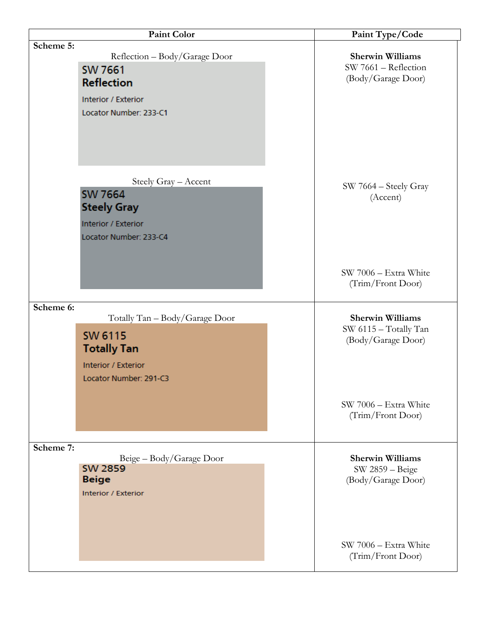| <b>Paint Color</b>                                                                                                                   | Paint Type/Code                                                        |
|--------------------------------------------------------------------------------------------------------------------------------------|------------------------------------------------------------------------|
| Scheme 5:<br>Reflection - Body/Garage Door<br><b>SW 7661</b>                                                                         | <b>Sherwin Williams</b><br>SW 7661 - Reflection                        |
| <b>Reflection</b><br>Interior / Exterior<br>Locator Number: 233-C1                                                                   | (Body/Garage Door)                                                     |
| Steely Gray - Accent<br><b>SW 7664</b><br><b>Steely Gray</b><br>Interior / Exterior<br>Locator Number: 233-C4                        | SW 7664 - Steely Gray<br>(Accent)                                      |
|                                                                                                                                      | SW 7006 - Extra White<br>(Trim/Front Door)                             |
| Scheme 6:<br>Totally Tan - Body/Garage Door<br><b>SW 6115</b><br><b>Totally Tan</b><br>Interior / Exterior<br>Locator Number: 291-C3 | <b>Sherwin Williams</b><br>SW 6115 - Totally Tan<br>(Body/Garage Door) |
|                                                                                                                                      | SW 7006 - Extra White<br>(Trim/Front Door)                             |
| Scheme 7:<br>Beige - Body/Garage Door<br><b>SW 2859</b><br><b>Beige</b><br><b>Interior / Exterior</b>                                | <b>Sherwin Williams</b><br>SW 2859 - Beige<br>(Body/Garage Door)       |
|                                                                                                                                      | SW 7006 - Extra White<br>(Trim/Front Door)                             |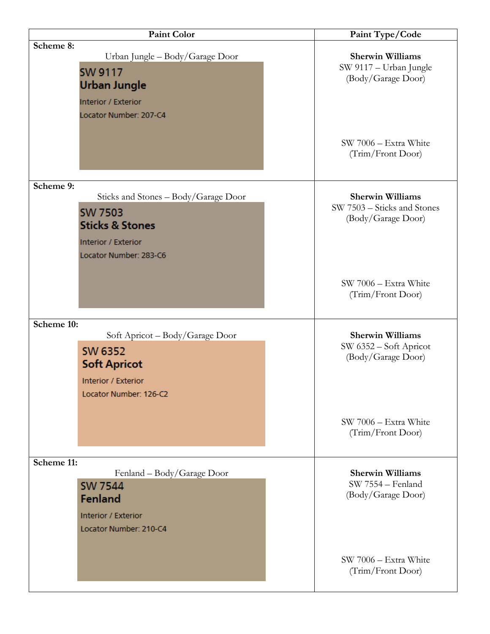| <b>Paint Color</b>                                                                                                                                 | Paint Type/Code                                                              |
|----------------------------------------------------------------------------------------------------------------------------------------------------|------------------------------------------------------------------------------|
| Scheme 8:<br>Urban Jungle - Body/Garage Door<br><b>SW 9117</b><br><b>Urban Jungle</b><br>Interior / Exterior<br>Locator Number: 207-C4             | <b>Sherwin Williams</b><br>SW 9117 - Urban Jungle<br>(Body/Garage Door)      |
|                                                                                                                                                    | SW 7006 - Extra White<br>(Trim/Front Door)                                   |
| Scheme 9:<br>Sticks and Stones - Body/Garage Door<br><b>SW 7503</b><br><b>Sticks &amp; Stones</b><br>Interior / Exterior<br>Locator Number: 283-C6 | <b>Sherwin Williams</b><br>SW 7503 - Sticks and Stones<br>(Body/Garage Door) |
|                                                                                                                                                    | SW 7006 - Extra White<br>(Trim/Front Door)                                   |
| Scheme 10:<br>Soft Apricot - Body/Garage Door<br><b>SW 6352</b><br><b>Soft Apricot</b><br>Interior / Exterior<br>Locator Number: 126-C2            | <b>Sherwin Williams</b><br>SW 6352 – Soft Apricot<br>(Body/Garage Door)      |
|                                                                                                                                                    | SW 7006 - Extra White<br>(Trim/Front Door)                                   |
| Scheme 11:<br>Fenland – Body/Garage Door<br><b>SW 7544</b><br>Fenland<br>Interior / Exterior<br>Locator Number: 210-C4                             | <b>Sherwin Williams</b><br>SW 7554 - Fenland<br>(Body/Garage Door)           |
|                                                                                                                                                    | SW 7006 - Extra White<br>(Trim/Front Door)                                   |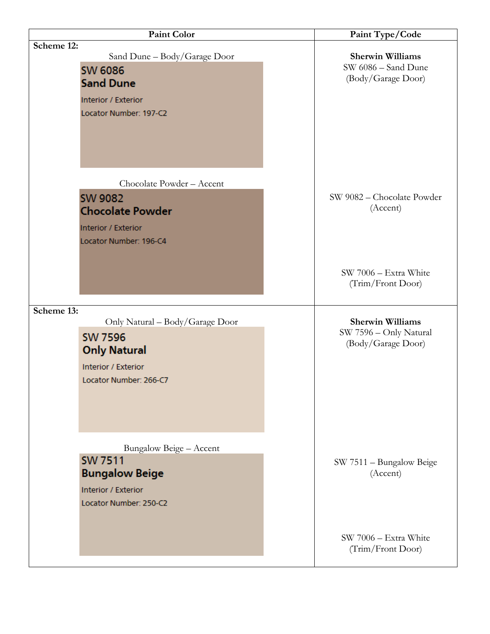| <b>Paint Color</b>                                                                                                                      | Paint Type/Code                                                         |
|-----------------------------------------------------------------------------------------------------------------------------------------|-------------------------------------------------------------------------|
| Scheme 12:<br>Sand Dune - Body/Garage Door<br><b>SW 6086</b><br><b>Sand Dune</b><br>Interior / Exterior<br>Locator Number: 197-C2       | <b>Sherwin Williams</b><br>SW 6086 - Sand Dune<br>(Body/Garage Door)    |
| Chocolate Powder - Accent<br><b>SW 9082</b><br><b>Chocolate Powder</b><br>Interior / Exterior<br>Locator Number: 196-C4                 | SW 9082 - Chocolate Powder<br>(Accent)                                  |
|                                                                                                                                         | SW 7006 - Extra White<br>(Trim/Front Door)                              |
| Scheme 13:<br>Only Natural – Body/Garage Door<br><b>SW 7596</b><br><b>Only Natural</b><br>Interior / Exterior<br>Locator Number: 266-C7 | <b>Sherwin Williams</b><br>SW 7596 - Only Natural<br>(Body/Garage Door) |
| Bungalow Beige - Accent<br><b>SW 7511</b><br><b>Bungalow Beige</b><br>Interior / Exterior<br>Locator Number: 250-C2                     | SW 7511 – Bungalow Beige<br>(Accent)                                    |
|                                                                                                                                         | SW 7006 - Extra White<br>(Trim/Front Door)                              |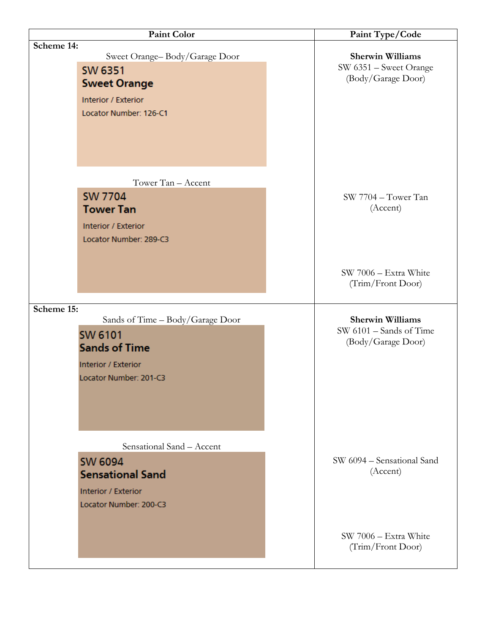| Paint Color                                                                                                                               | Paint Type/Code                                                            |
|-------------------------------------------------------------------------------------------------------------------------------------------|----------------------------------------------------------------------------|
| Scheme 14:<br>Sweet Orange-Body/Garage Door<br>SW 6351<br><b>Sweet Orange</b><br>Interior / Exterior<br>Locator Number: 126-C1            | <b>Sherwin Williams</b><br>SW 6351 - Sweet Orange<br>(Body/Garage Door)    |
| Tower Tan - Accent<br><b>SW 7704</b><br><b>Tower Tan</b><br>Interior / Exterior<br>Locator Number: 289-C3                                 | SW 7704 - Tower Tan<br>(Accent)                                            |
|                                                                                                                                           | SW 7006 - Extra White<br>(Trim/Front Door)                                 |
| Scheme 15:<br>Sands of Time – Body/Garage Door<br><b>SW 6101</b><br><b>Sands of Time</b><br>Interior / Exterior<br>Locator Number: 201-C3 | <b>Sherwin Williams</b><br>$SW 6101 -$ Sands of Time<br>(Body/Garage Door) |
| Sensational Sand - Accent<br><b>SW 6094</b><br><b>Sensational Sand</b><br>Interior / Exterior<br>Locator Number: 200-C3                   | SW 6094 – Sensational Sand<br>(Accent)                                     |
|                                                                                                                                           | SW 7006 - Extra White<br>(Trim/Front Door)                                 |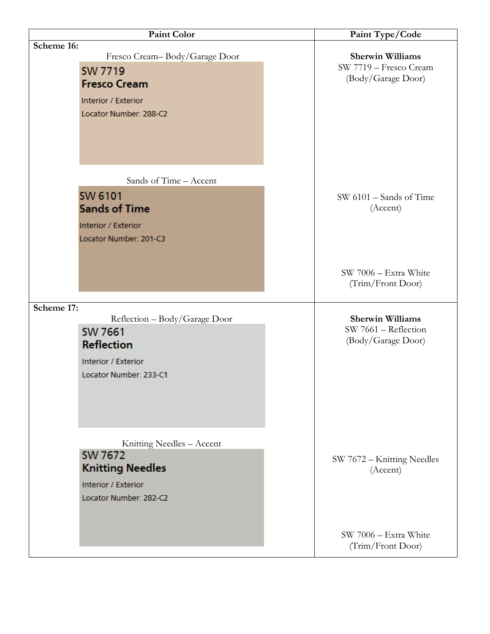| <b>Paint Color</b>                                                                                                                    | Paint Type/Code                                                         |
|---------------------------------------------------------------------------------------------------------------------------------------|-------------------------------------------------------------------------|
| Scheme 16:<br>Fresco Cream-Body/Garage Door<br><b>SW 7719</b><br><b>Fresco Cream</b><br>Interior / Exterior<br>Locator Number: 288-C2 | <b>Sherwin Williams</b><br>SW 7719 - Fresco Cream<br>(Body/Garage Door) |
| Sands of Time - Accent<br><b>SW 6101</b><br><b>Sands of Time</b><br>Interior / Exterior<br>Locator Number: 201-C3                     | $SW 6101 -$ Sands of Time<br>(Accent)                                   |
|                                                                                                                                       | SW 7006 - Extra White<br>(Trim/Front Door)                              |
| Scheme 17:<br>Reflection - Body/Garage Door<br><b>SW 7661</b><br><b>Reflection</b><br>Interior / Exterior<br>Locator Number: 233-C1   | <b>Sherwin Williams</b><br>SW 7661 - Reflection<br>(Body/Garage Door)   |
| Knitting Needles - Accent<br><b>SW 7672</b><br><b>Knitting Needles</b><br>Interior / Exterior<br>Locator Number: 282-C2               | SW 7672 - Knitting Needles<br>(Accent)                                  |
|                                                                                                                                       | SW 7006 - Extra White<br>(Trim/Front Door)                              |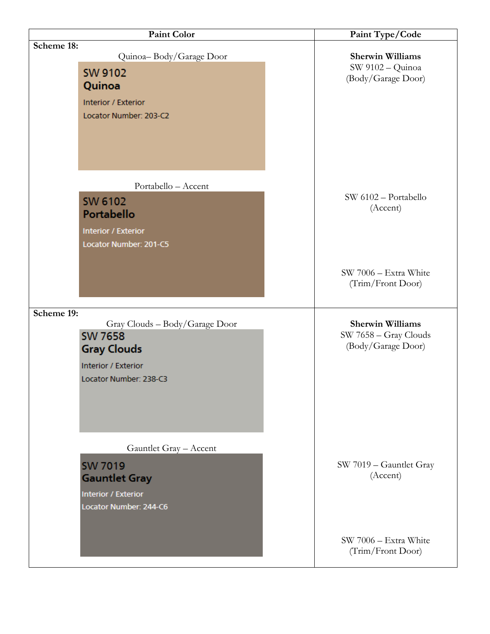| <b>Paint Color</b>                                                                                                                    | Paint Type/Code                                                        |
|---------------------------------------------------------------------------------------------------------------------------------------|------------------------------------------------------------------------|
| Scheme 18:<br>Quinoa-Body/Garage Door<br><b>SW 9102</b><br>Quinoa<br>Interior / Exterior<br>Locator Number: 203-C2                    | <b>Sherwin Williams</b><br>SW 9102 - Quinoa<br>(Body/Garage Door)      |
| Portabello - Accent<br><b>SW 6102</b><br>Portabello<br>Interior / Exterior<br>Locator Number: 201-C5                                  | SW 6102 - Portabello<br>(Accent)                                       |
|                                                                                                                                       | SW 7006 - Extra White<br>(Trim/Front Door)                             |
| Scheme 19:<br>Gray Clouds - Body/Garage Door<br><b>SW 7658</b><br><b>Gray Clouds</b><br>Interior / Exterior<br>Locator Number: 238-C3 | <b>Sherwin Williams</b><br>SW 7658 - Gray Clouds<br>(Body/Garage Door) |
| Gauntlet Gray - Accent<br><b>SW 7019</b><br><b>Gauntlet Gray</b><br>Interior / Exterior<br>Locator Number: 244-C6                     | SW 7019 - Gauntlet Gray<br>(Accent)                                    |
|                                                                                                                                       | SW 7006 - Extra White<br>(Trim/Front Door)                             |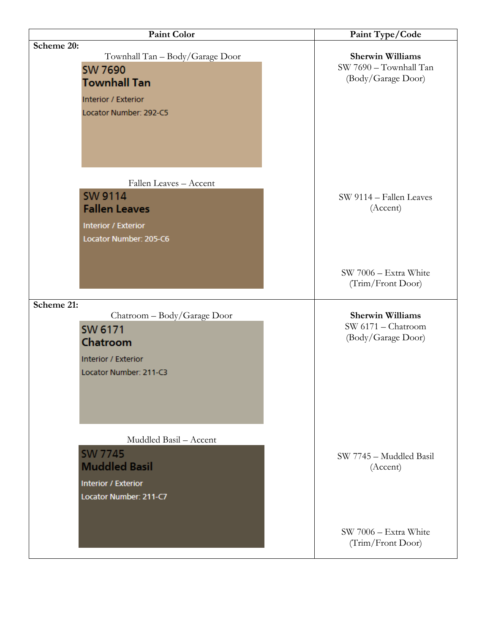| <b>Paint Color</b>                                                                                                                      | Paint Type/Code                                                         |
|-----------------------------------------------------------------------------------------------------------------------------------------|-------------------------------------------------------------------------|
| Scheme 20:<br>Townhall Tan - Body/Garage Door<br><b>SW 7690</b><br><b>Townhall Tan</b><br>Interior / Exterior<br>Locator Number: 292-C5 | <b>Sherwin Williams</b><br>SW 7690 - Townhall Tan<br>(Body/Garage Door) |
| Fallen Leaves - Accent<br><b>SW 9114</b><br><b>Fallen Leaves</b><br>Interior / Exterior<br>Locator Number: 205-C6                       | SW 9114 - Fallen Leaves<br>(Accent)                                     |
|                                                                                                                                         | SW 7006 - Extra White<br>(Trim/Front Door)                              |
| Scheme 21:<br>Chatroom - Body/Garage Door<br>SW 6171<br>Chatroom<br>Interior / Exterior<br>Locator Number: 211-C3                       | <b>Sherwin Williams</b><br>SW 6171 - Chatroom<br>(Body/Garage Door)     |
| Muddled Basil - Accent<br><b>SW 7745</b><br><b>Muddled Basil</b><br>Interior / Exterior<br>Locator Number: 211-C7                       | SW 7745 - Muddled Basil<br>(Accent)                                     |
|                                                                                                                                         | SW 7006 - Extra White<br>(Trim/Front Door)                              |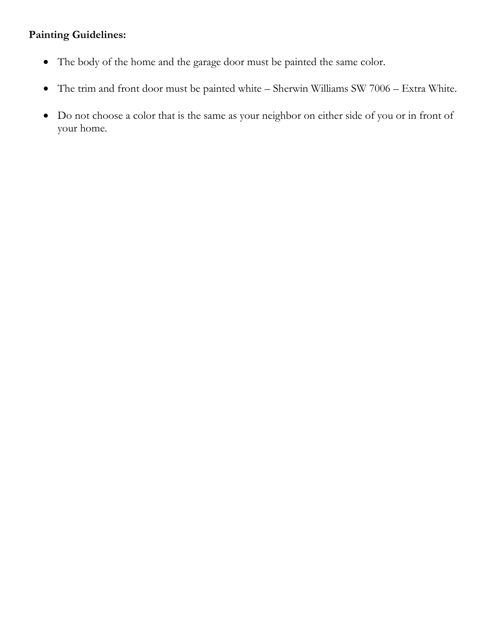### **Painting Guidelines:**

- The body of the home and the garage door must be painted the same color.
- The trim and front door must be painted white Sherwin Williams SW 7006 Extra White.
- Do not choose a color that is the same as your neighbor on either side of you or in front of your home.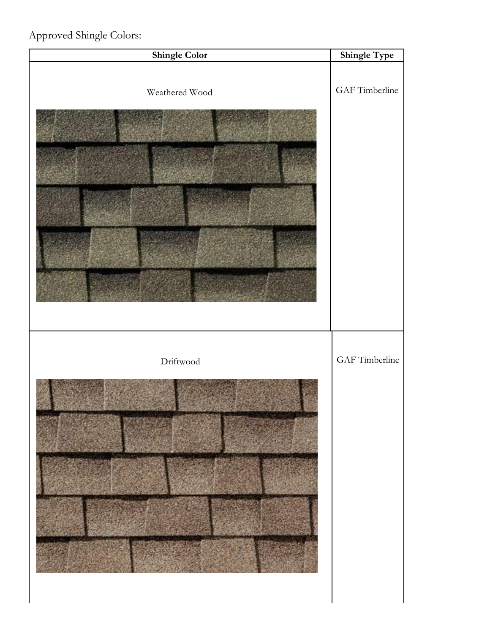## Approved Shingle Colors:

| <b>Shingle Color</b> | Shingle Type   |
|----------------------|----------------|
| Weathered Wood       | GAF Timberline |
| $\text{Driftwood}$   | GAF Timberline |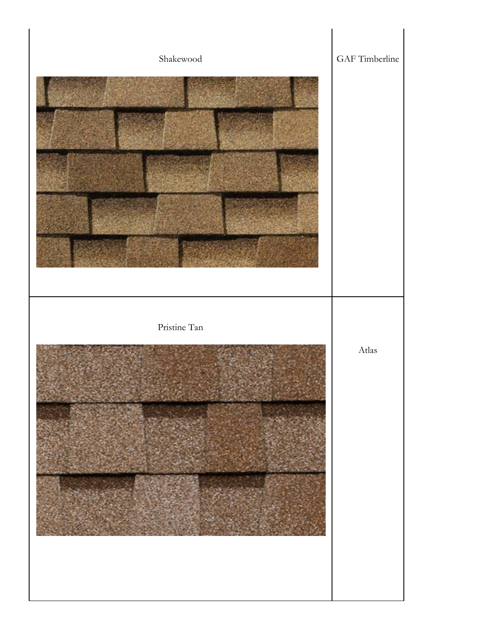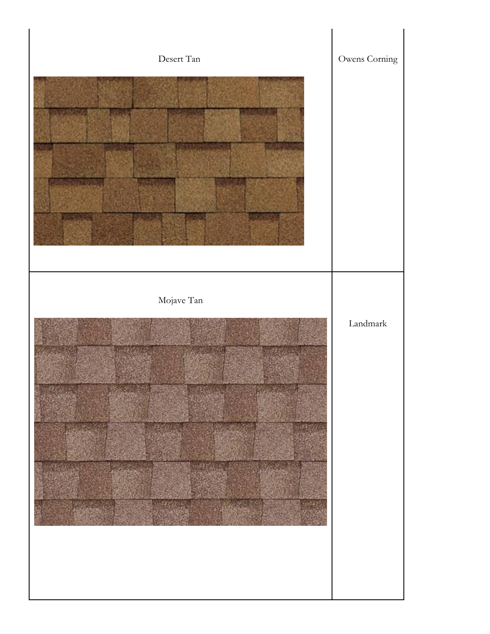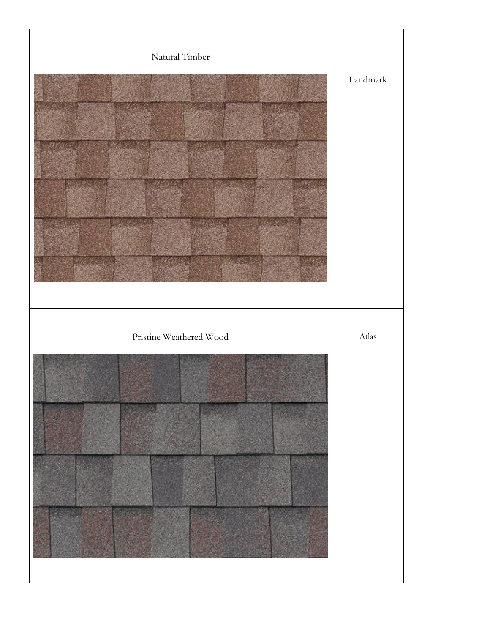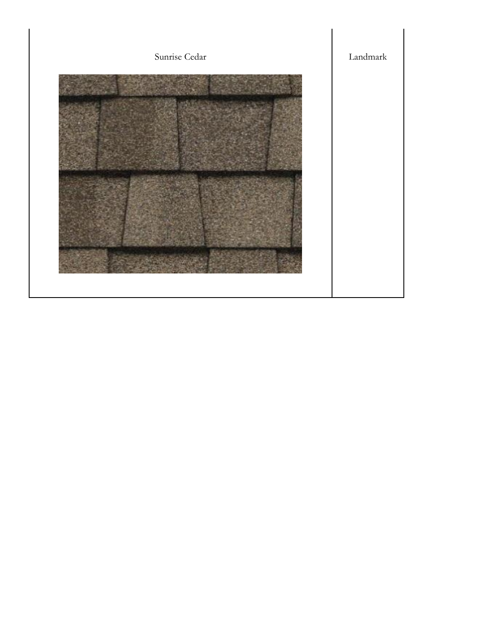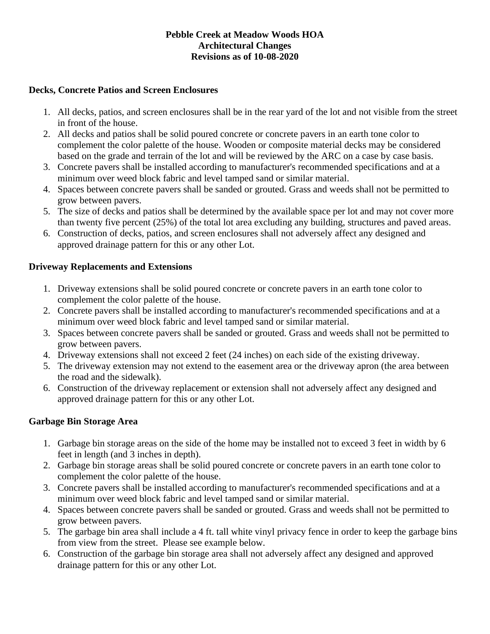#### **Pebble Creek at Meadow Woods HOA Architectural Changes Revisions as of 10-08-2020**

#### **Decks, Concrete Patios and Screen Enclosures**

- 1. All decks, patios, and screen enclosures shall be in the rear yard of the lot and not visible from the street in front of the house.
- 2. All decks and patios shall be solid poured concrete or concrete pavers in an earth tone color to complement the color palette of the house. Wooden or composite material decks may be considered based on the grade and terrain of the lot and will be reviewed by the ARC on a case by case basis.
- 3. Concrete pavers shall be installed according to manufacturer's recommended specifications and at a minimum over weed block fabric and level tamped sand or similar material.
- 4. Spaces between concrete pavers shall be sanded or grouted. Grass and weeds shall not be permitted to grow between pavers.
- 5. The size of decks and patios shall be determined by the available space per lot and may not cover more than twenty five percent (25%) of the total lot area excluding any building, structures and paved areas.
- 6. Construction of decks, patios, and screen enclosures shall not adversely affect any designed and approved drainage pattern for this or any other Lot.

#### **Driveway Replacements and Extensions**

- 1. Driveway extensions shall be solid poured concrete or concrete pavers in an earth tone color to complement the color palette of the house.
- 2. Concrete pavers shall be installed according to manufacturer's recommended specifications and at a minimum over weed block fabric and level tamped sand or similar material.
- 3. Spaces between concrete pavers shall be sanded or grouted. Grass and weeds shall not be permitted to grow between pavers.
- 4. Driveway extensions shall not exceed 2 feet (24 inches) on each side of the existing driveway.
- 5. The driveway extension may not extend to the easement area or the driveway apron (the area between the road and the sidewalk).
- 6. Construction of the driveway replacement or extension shall not adversely affect any designed and approved drainage pattern for this or any other Lot.

#### **Garbage Bin Storage Area**

- 1. Garbage bin storage areas on the side of the home may be installed not to exceed 3 feet in width by 6 feet in length (and 3 inches in depth).
- 2. Garbage bin storage areas shall be solid poured concrete or concrete pavers in an earth tone color to complement the color palette of the house.
- 3. Concrete pavers shall be installed according to manufacturer's recommended specifications and at a minimum over weed block fabric and level tamped sand or similar material.
- 4. Spaces between concrete pavers shall be sanded or grouted. Grass and weeds shall not be permitted to grow between pavers.
- 5. The garbage bin area shall include a 4 ft. tall white vinyl privacy fence in order to keep the garbage bins from view from the street. Please see example below.
- 6. Construction of the garbage bin storage area shall not adversely affect any designed and approved drainage pattern for this or any other Lot.